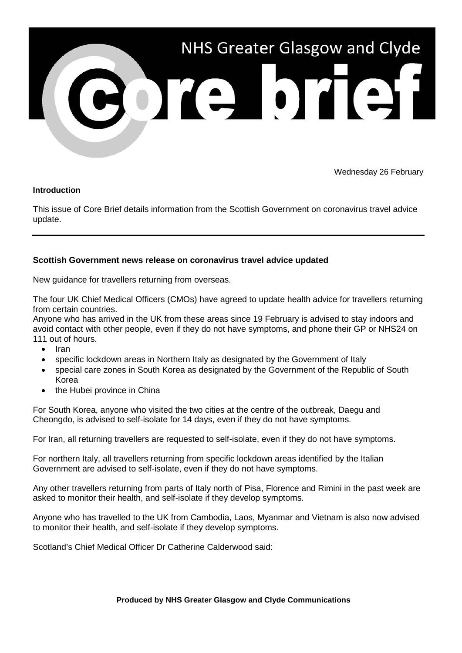

Wednesday 26 February

## **Introduction**

This issue of Core Brief details information from the Scottish Government on coronavirus travel advice update.

## **Scottish Government news release on coronavirus travel advice updated**

New guidance for travellers returning from overseas.

The four UK Chief Medical Officers (CMOs) have agreed to update health advice for travellers returning from certain countries.

Anyone who has arrived in the UK from these areas since 19 February is advised to stay indoors and avoid contact with other people, even if they do not have symptoms, and phone their GP or NHS24 on 111 out of hours.

- Iran
- specific lockdown areas in Northern Italy as designated by the Government of Italy
- special care zones in South Korea as designated by the Government of the Republic of South Korea
- the Hubei province in China

For South Korea, anyone who visited the two cities at the centre of the outbreak, Daegu and Cheongdo, is advised to self-isolate for 14 days, even if they do not have symptoms.

For Iran, all returning travellers are requested to self-isolate, even if they do not have symptoms.

For northern Italy, all travellers returning from specific lockdown areas identified by the Italian Government are advised to self-isolate, even if they do not have symptoms.

Any other travellers returning from parts of Italy north of Pisa, Florence and Rimini in the past week are asked to monitor their health, and self-isolate if they develop symptoms.

Anyone who has travelled to the UK from Cambodia, Laos, Myanmar and Vietnam is also now advised to monitor their health, and self-isolate if they develop symptoms.

Scotland's Chief Medical Officer Dr Catherine Calderwood said: